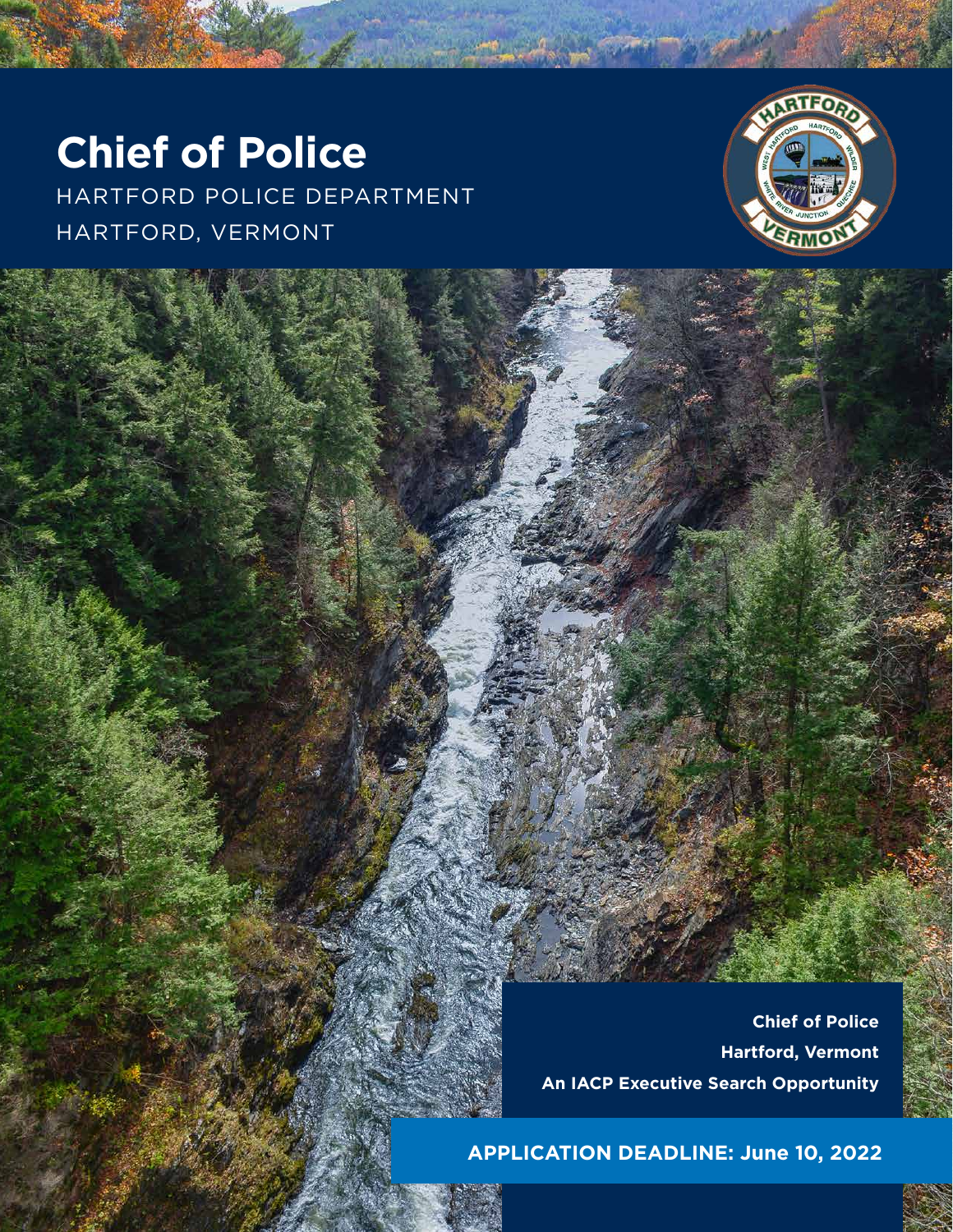## **Chief of Police**

HARTFORD POLICE DEPARTMENT HARTFORD, VERMONT



**Chief of Police Hartford, Vermont An IACP Executive Search Opportunity**

**APPLICATION DEADLINE: June 10, 2022**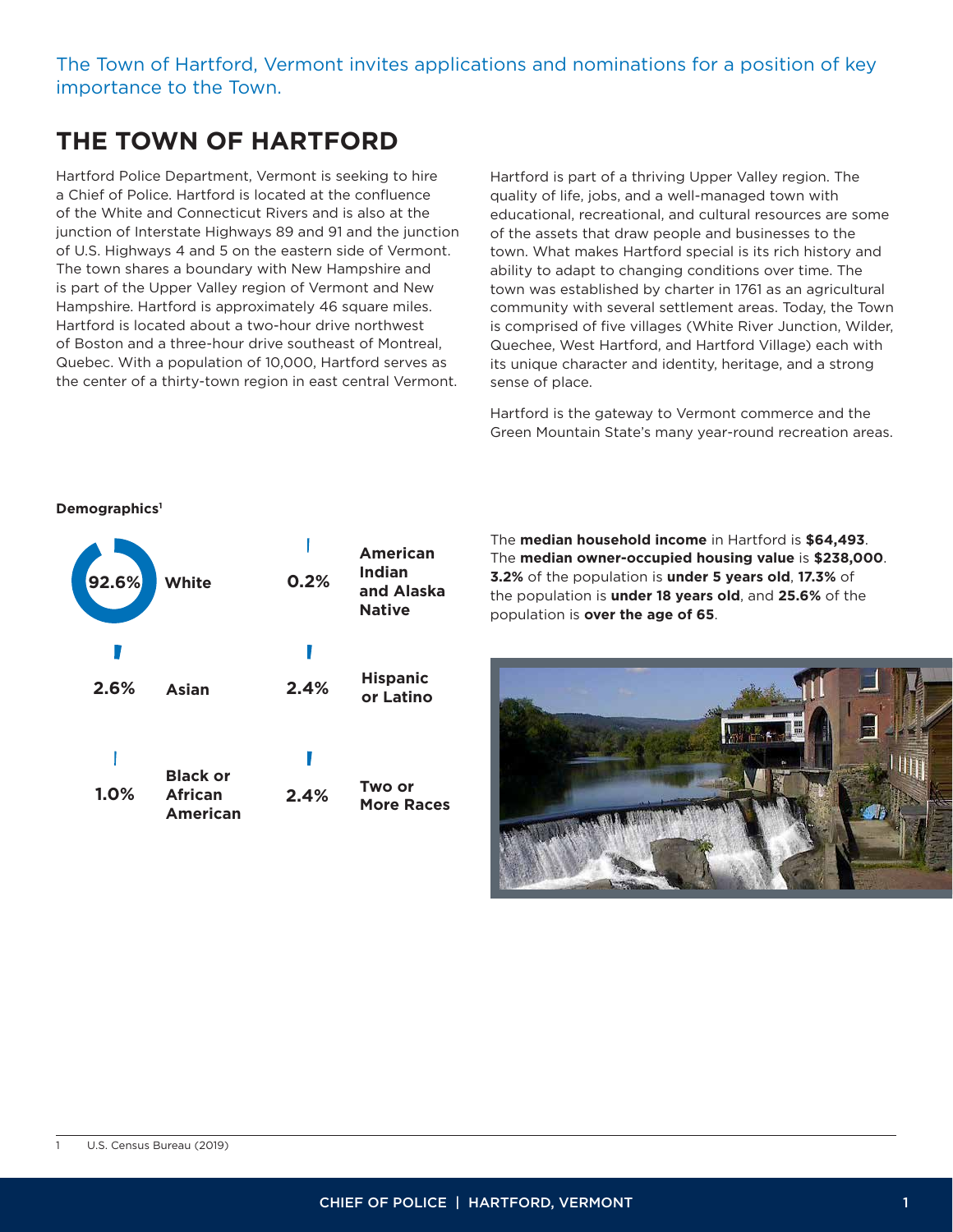#### The Town of Hartford, Vermont invites applications and nominations for a position of key importance to the Town.

## **THE TOWN OF HARTFORD**

Hartford Police Department, Vermont is seeking to hire a Chief of Police. Hartford is located at the confluence of the White and Connecticut Rivers and is also at the junction of Interstate Highways 89 and 91 and the junction of U.S. Highways 4 and 5 on the eastern side of Vermont. The town shares a boundary with New Hampshire and is part of the Upper Valley region of Vermont and New Hampshire. Hartford is approximately 46 square miles. Hartford is located about a two-hour drive northwest of Boston and a three-hour drive southeast of Montreal, Quebec. With a population of 10,000, Hartford serves as the center of a thirty-town region in east central Vermont.

Hartford is part of a thriving Upper Valley region. The quality of life, jobs, and a well-managed town with educational, recreational, and cultural resources are some of the assets that draw people and businesses to the town. What makes Hartford special is its rich history and ability to adapt to changing conditions over time. The town was established by charter in 1761 as an agricultural community with several settlement areas. Today, the Town is comprised of five villages (White River Junction, Wilder, Quechee, West Hartford, and Hartford Village) each with its unique character and identity, heritage, and a strong sense of place.

Hartford is the gateway to Vermont commerce and the Green Mountain State's many year-round recreation areas.

#### **Demographics1**

| 92.6% | White                                         | 0.2% | American<br>Indian<br>and Alaska<br><b>Native</b> |
|-------|-----------------------------------------------|------|---------------------------------------------------|
| 2.6%  | <b>Asian</b>                                  | 2.4% | <b>Hispanic</b><br>or Latino                      |
| 1.0%  | <b>Black or</b><br><b>African</b><br>American | 2.4% | Two or<br><b>More Races</b>                       |

The **median household income** in Hartford is **\$64,493**. The **median owner-occupied housing value** is **\$238,000**. **3.2%** of the population is **under 5 years old**, **17.3%** of the population is **under 18 years old**, and **25.6%** of the population is **over the age of 65**.

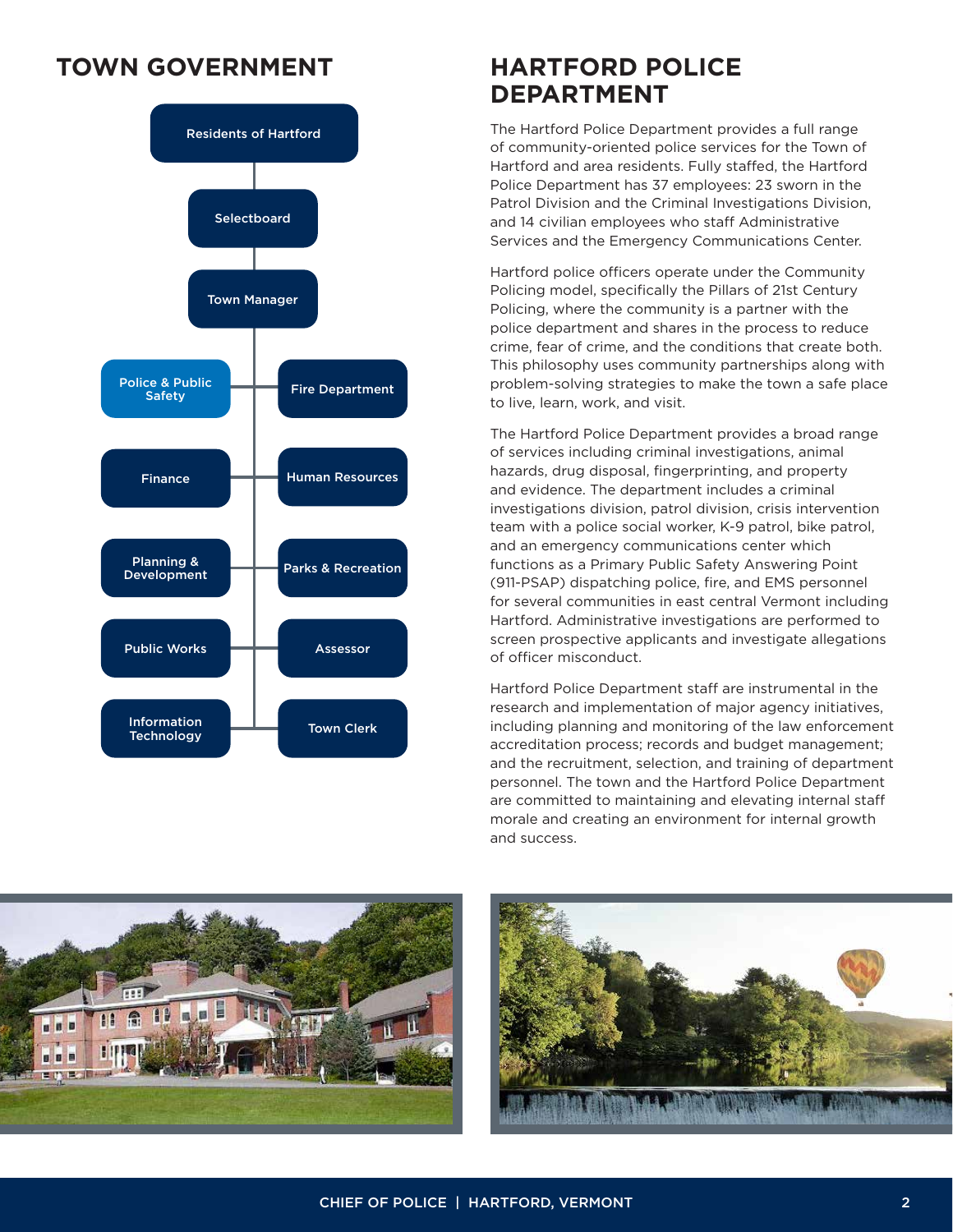## **TOWN GOVERNMENT HARTFORD POLICE**



# **DEPARTMENT**

The Hartford Police Department provides a full range of community-oriented police services for the Town of Hartford and area residents. Fully staffed, the Hartford Police Department has 37 employees: 23 sworn in the Patrol Division and the Criminal Investigations Division, and 14 civilian employees who staff Administrative Services and the Emergency Communications Center.

Hartford police officers operate under the Community Policing model, specifically the Pillars of 21st Century Policing, where the community is a partner with the police department and shares in the process to reduce crime, fear of crime, and the conditions that create both. This philosophy uses community partnerships along with problem-solving strategies to make the town a safe place to live, learn, work, and visit.

The Hartford Police Department provides a broad range of services including criminal investigations, animal hazards, drug disposal, fingerprinting, and property and evidence. The department includes a criminal investigations division, patrol division, crisis intervention team with a police social worker, K-9 patrol, bike patrol, and an emergency communications center which functions as a Primary Public Safety Answering Point (911-PSAP) dispatching police, fire, and EMS personnel for several communities in east central Vermont including Hartford. Administrative investigations are performed to screen prospective applicants and investigate allegations of officer misconduct.

Hartford Police Department staff are instrumental in the research and implementation of major agency initiatives, including planning and monitoring of the law enforcement accreditation process; records and budget management; and the recruitment, selection, and training of department personnel. The town and the Hartford Police Department are committed to maintaining and elevating internal staff morale and creating an environment for internal growth and success.



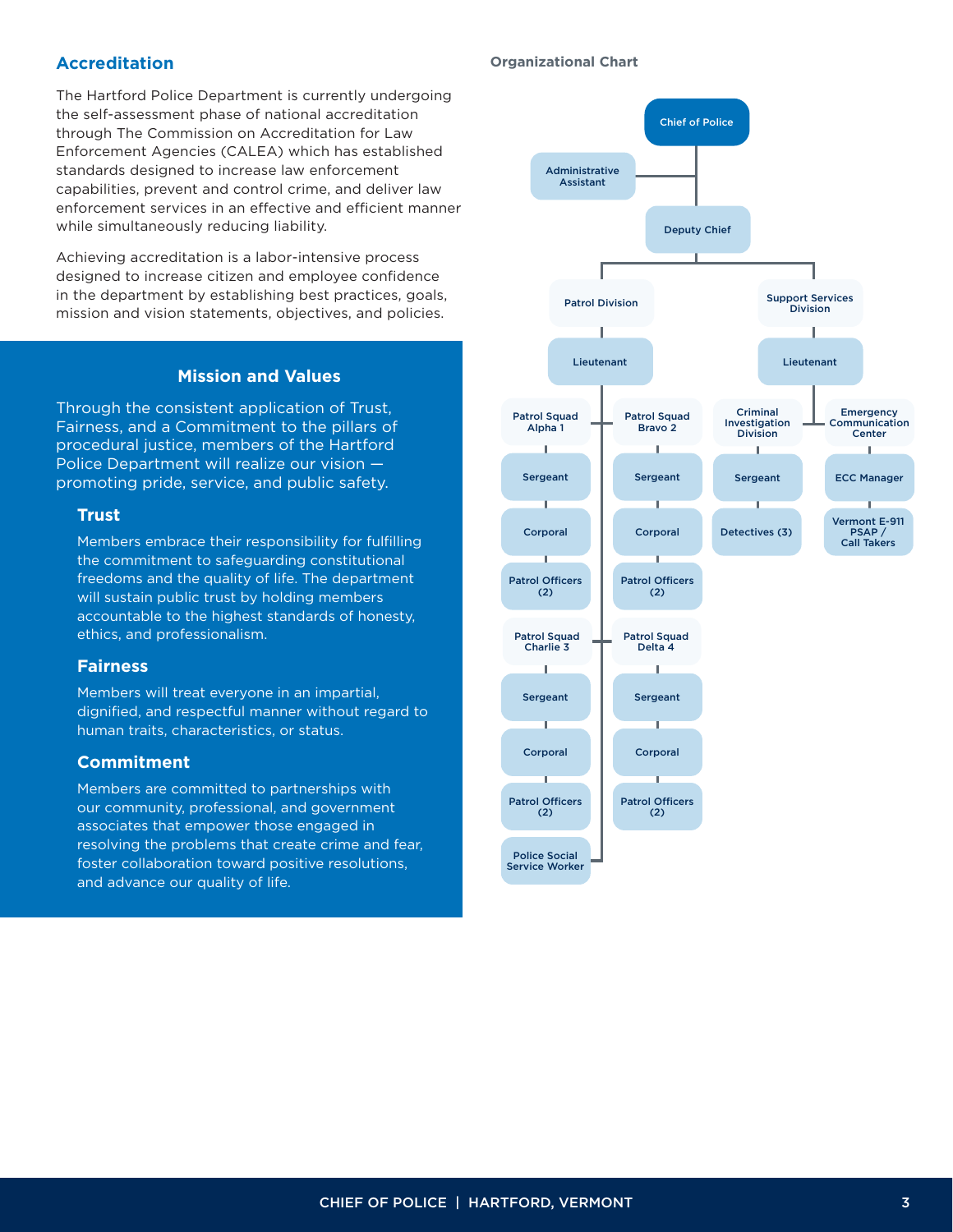#### **Accreditation**

The Hartford Police Department is currently undergoing the self-assessment phase of national accreditation through The Commission on Accreditation for Law Enforcement Agencies (CALEA) which has established standards designed to increase law enforcement capabilities, prevent and control crime, and deliver law enforcement services in an effective and efficient manner while simultaneously reducing liability.

Achieving accreditation is a labor-intensive process designed to increase citizen and employee confidence in the department by establishing best practices, goals, mission and vision statements, objectives, and policies.

#### **Mission and Values**

Through the consistent application of Trust, Fairness, and a Commitment to the pillars of procedural justice, members of the Hartford Police Department will realize our vision promoting pride, service, and public safety.

#### **Trust**

Members embrace their responsibility for fulfilling the commitment to safeguarding constitutional freedoms and the quality of life. The department will sustain public trust by holding members accountable to the highest standards of honesty, ethics, and professionalism.

#### **Fairness**

Members will treat everyone in an impartial, dignified, and respectful manner without regard to human traits, characteristics, or status.

#### **Commitment**

Members are committed to partnerships with our community, professional, and government associates that empower those engaged in resolving the problems that create crime and fear, foster collaboration toward positive resolutions, and advance our quality of life.

#### **Organizational Chart**

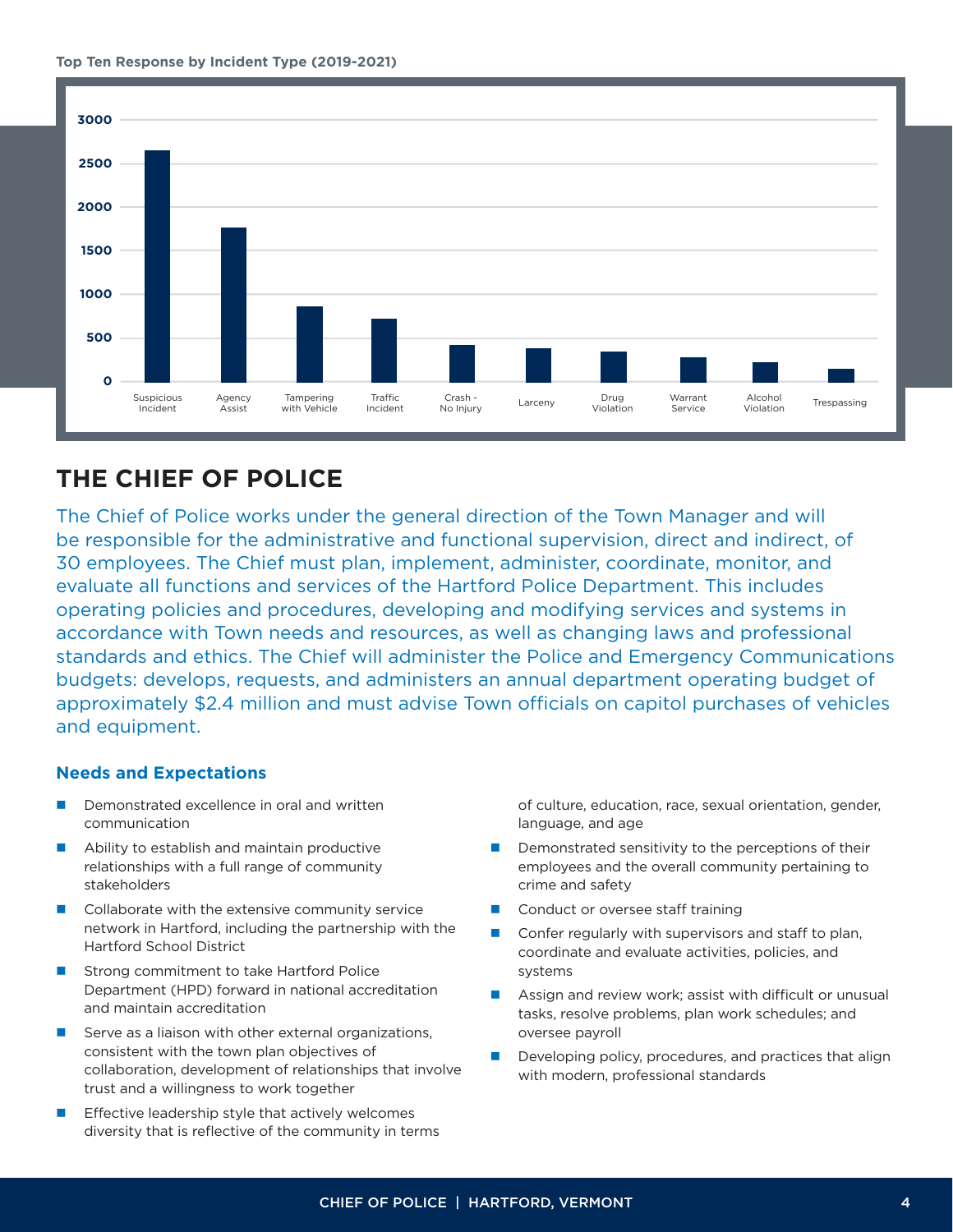



## **THE CHIEF OF POLICE**

The Chief of Police works under the general direction of the Town Manager and will be responsible for the administrative and functional supervision, direct and indirect, of 30 employees. The Chief must plan, implement, administer, coordinate, monitor, and evaluate all functions and services of the Hartford Police Department. This includes operating policies and procedures, developing and modifying services and systems in accordance with Town needs and resources, as well as changing laws and professional standards and ethics. The Chief will administer the Police and Emergency Communications budgets: develops, requests, and administers an annual department operating budget of approximately \$2.4 million and must advise Town officials on capitol purchases of vehicles and equipment.

#### **Needs and Expectations**

- Demonstrated excellence in oral and written communication
- Ability to establish and maintain productive relationships with a full range of community stakeholders
- Collaborate with the extensive community service network in Hartford, including the partnership with the Hartford School District
- Strong commitment to take Hartford Police Department (HPD) forward in national accreditation and maintain accreditation
- Serve as a liaison with other external organizations, consistent with the town plan objectives of collaboration, development of relationships that involve trust and a willingness to work together
- Effective leadership style that actively welcomes diversity that is reflective of the community in terms

of culture, education, race, sexual orientation, gender, language, and age

- Demonstrated sensitivity to the perceptions of their employees and the overall community pertaining to crime and safety
- Conduct or oversee staff training
- Confer regularly with supervisors and staff to plan, coordinate and evaluate activities, policies, and systems
- Assign and review work; assist with difficult or unusual tasks, resolve problems, plan work schedules; and oversee payroll
- Developing policy, procedures, and practices that align with modern, professional standards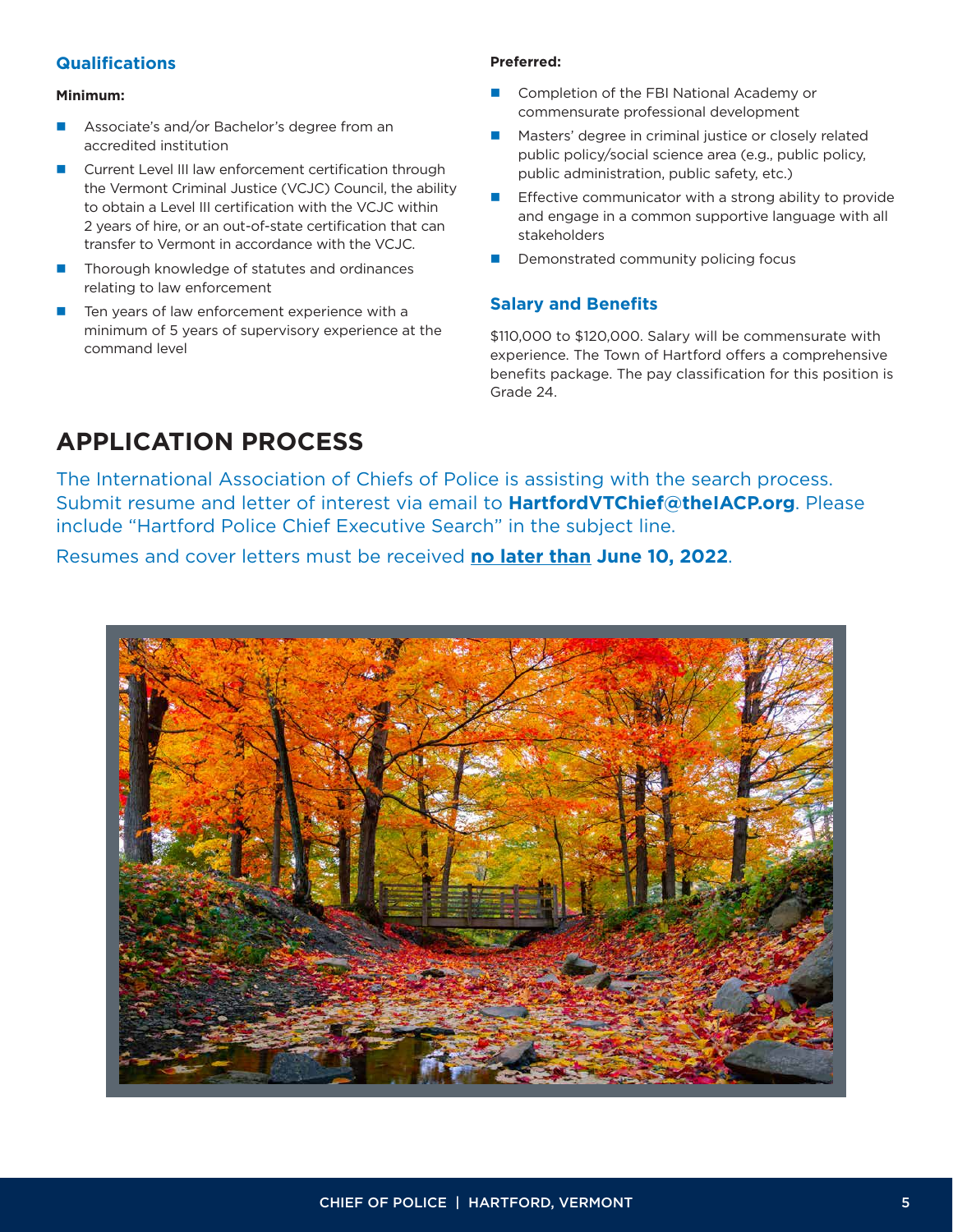#### **Qualifications**

#### **Minimum:**

- Associate's and/or Bachelor's degree from an accredited institution
- Current Level III law enforcement certification through the Vermont Criminal Justice (VCJC) Council, the ability to obtain a Level III certification with the VCJC within 2 years of hire, or an out-of-state certification that can transfer to Vermont in accordance with the VCJC.
- Thorough knowledge of statutes and ordinances relating to law enforcement
- Ten years of law enforcement experience with a minimum of 5 years of supervisory experience at the command level

#### **Preferred:**

- Completion of the FBI National Academy or commensurate professional development
- Masters' degree in criminal justice or closely related public policy/social science area (e.g., public policy, public administration, public safety, etc.)
- Effective communicator with a strong ability to provide and engage in a common supportive language with all stakeholders
- Demonstrated community policing focus

#### **Salary and Benefits**

\$110,000 to \$120,000. Salary will be commensurate with experience. The Town of Hartford offers a comprehensive benefits package. The pay classification for this position is Grade 24.

## **APPLICATION PROCESS**

The International Association of Chiefs of Police is assisting with the search process. Submit resume and letter of interest via email to **HartfordVTChief@theIACP.org**. Please include "Hartford Police Chief Executive Search" in the subject line.

Resumes and cover letters must be received **no later than June 10, 2022**.